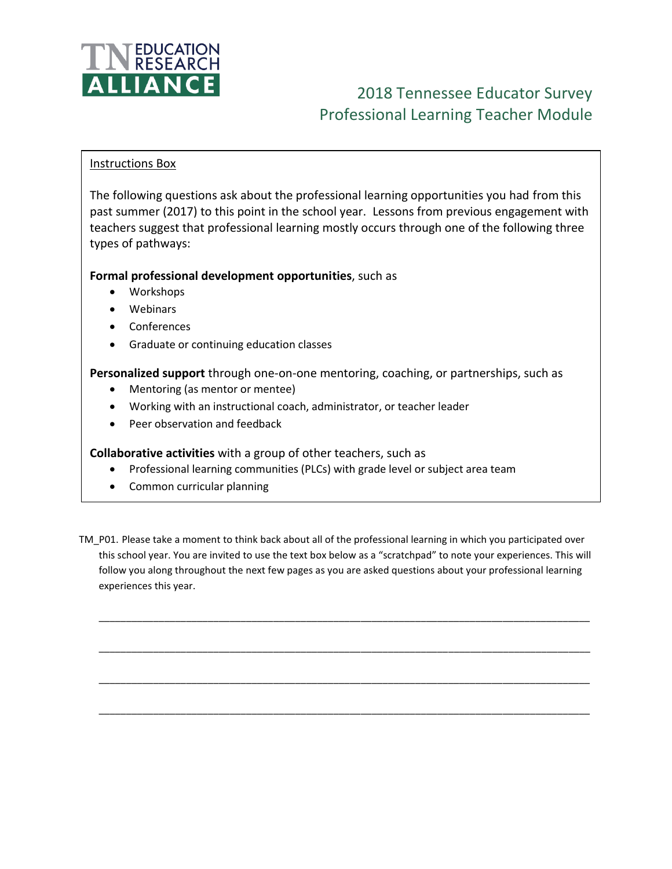

# 2018 Tennessee Educator Survey Professional Learning Teacher Module

### Instructions Box

The following questions ask about the professional learning opportunities you had from this past summer (2017) to this point in the school year. Lessons from previous engagement with teachers suggest that professional learning mostly occurs through one of the following three types of pathways:

## **Formal professional development opportunities**, such as

- Workshops
- Webinars
- Conferences
- Graduate or continuing education classes

**Personalized support** through one-on-one mentoring, coaching, or partnerships, such as

- Mentoring (as mentor or mentee)
- Working with an instructional coach, administrator, or teacher leader
- Peer observation and feedback

**Collaborative activities** with a group of other teachers, such as

- Professional learning communities (PLCs) with grade level or subject area team
- Common curricular planning
- TM\_P01. Please take a moment to think back about all of the professional learning in which you participated over this school year. You are invited to use the text box below as a "scratchpad" to note your experiences. This will follow you along throughout the next few pages as you are asked questions about your professional learning experiences this year.

\_\_\_\_\_\_\_\_\_\_\_\_\_\_\_\_\_\_\_\_\_\_\_\_\_\_\_\_\_\_\_\_\_\_\_\_\_\_\_\_\_\_\_\_\_\_\_\_\_\_\_\_\_\_\_\_\_\_\_\_\_\_\_\_\_\_\_\_\_\_\_\_\_\_\_\_\_\_\_\_\_\_\_\_\_\_\_\_\_\_

\_\_\_\_\_\_\_\_\_\_\_\_\_\_\_\_\_\_\_\_\_\_\_\_\_\_\_\_\_\_\_\_\_\_\_\_\_\_\_\_\_\_\_\_\_\_\_\_\_\_\_\_\_\_\_\_\_\_\_\_\_\_\_\_\_\_\_\_\_\_\_\_\_\_\_\_\_\_\_\_\_\_\_\_\_\_\_\_\_\_

\_\_\_\_\_\_\_\_\_\_\_\_\_\_\_\_\_\_\_\_\_\_\_\_\_\_\_\_\_\_\_\_\_\_\_\_\_\_\_\_\_\_\_\_\_\_\_\_\_\_\_\_\_\_\_\_\_\_\_\_\_\_\_\_\_\_\_\_\_\_\_\_\_\_\_\_\_\_\_\_\_\_\_\_\_\_\_\_\_\_

\_\_\_\_\_\_\_\_\_\_\_\_\_\_\_\_\_\_\_\_\_\_\_\_\_\_\_\_\_\_\_\_\_\_\_\_\_\_\_\_\_\_\_\_\_\_\_\_\_\_\_\_\_\_\_\_\_\_\_\_\_\_\_\_\_\_\_\_\_\_\_\_\_\_\_\_\_\_\_\_\_\_\_\_\_\_\_\_\_\_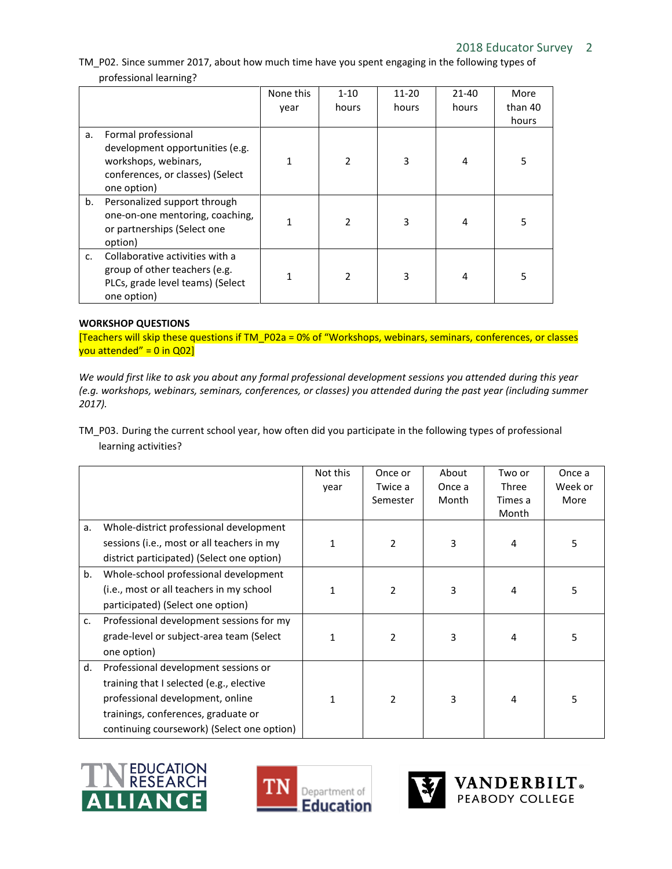# 2018 Educator Survey 2

TM\_P02. Since summer 2017, about how much time have you spent engaging in the following types of professional learning?

|               |                                                                                                                                   | None this | $1 - 10$       | $11 - 20$ | $21 - 40$ | More    |
|---------------|-----------------------------------------------------------------------------------------------------------------------------------|-----------|----------------|-----------|-----------|---------|
|               |                                                                                                                                   | year      | hours          | hours     | hours     | than 40 |
|               |                                                                                                                                   |           |                |           |           | hours   |
| а.            | Formal professional<br>development opportunities (e.g.<br>workshops, webinars,<br>conferences, or classes) (Select<br>one option) |           | $\mathfrak z$  | 3         | 4         | 5       |
| b.            | Personalized support through<br>one-on-one mentoring, coaching,<br>or partnerships (Select one<br>option)                         |           | $\mathfrak{p}$ | 3         | 4         | 5       |
| $C_{\bullet}$ | Collaborative activities with a<br>group of other teachers (e.g.<br>PLCs, grade level teams) (Select<br>one option)               |           | 2              | 3         | 4         | 5       |

#### **WORKSHOP QUESTIONS**

[Teachers will skip these questions if TM\_P02a = 0% of "Workshops, webinars, seminars, conferences, or classes you attended" =  $0$  in Q02]

*We would first like to ask you about any formal professional development sessions you attended during this year (e.g. workshops, webinars, seminars, conferences, or classes) you attended during the past year (including summer 2017).*

TM\_P03. During the current school year, how often did you participate in the following types of professional learning activities?

|    |                                                                                                                                                                                                           | Not this<br>year | Once or<br>Twice a<br>Semester | About<br>Once a<br>Month | Two or<br>Three<br>Times a<br>Month | Once a<br>Week or<br>More |
|----|-----------------------------------------------------------------------------------------------------------------------------------------------------------------------------------------------------------|------------------|--------------------------------|--------------------------|-------------------------------------|---------------------------|
| a. | Whole-district professional development<br>sessions (i.e., most or all teachers in my<br>district participated) (Select one option)                                                                       | 1                | $\overline{2}$                 | 3                        | 4                                   | 5                         |
| b. | Whole-school professional development<br>(i.e., most or all teachers in my school<br>participated) (Select one option)                                                                                    | 1                | $\overline{2}$                 | 3                        | 4                                   | 5                         |
| c. | Professional development sessions for my<br>grade-level or subject-area team (Select<br>one option)                                                                                                       | 1                | $\overline{2}$                 | 3                        | 4                                   | 5                         |
| d. | Professional development sessions or<br>training that I selected (e.g., elective<br>professional development, online<br>trainings, conferences, graduate or<br>continuing coursework) (Select one option) | 1                | $\mathfrak{p}$                 | 3                        | 4                                   | 5                         |







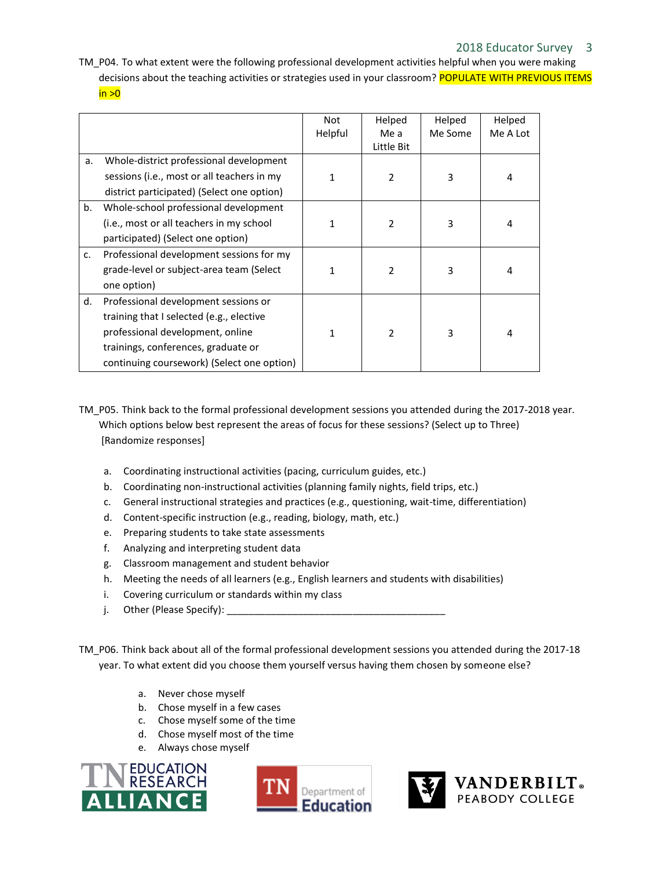TM\_P04. To what extent were the following professional development activities helpful when you were making decisions about the teaching activities or strategies used in your classroom? POPULATE WITH PREVIOUS ITEMS  $in >0$ 

|    |                                                                                                                                                                                                           | Not<br>Helpful | Helped<br>Me a<br>Little Bit | Helped<br>Me Some | Helped<br>Me A Lot |
|----|-----------------------------------------------------------------------------------------------------------------------------------------------------------------------------------------------------------|----------------|------------------------------|-------------------|--------------------|
| a. | Whole-district professional development<br>sessions (i.e., most or all teachers in my<br>district participated) (Select one option)                                                                       | 1              | $\overline{2}$               | 3                 | 4                  |
| b. | Whole-school professional development<br>(i.e., most or all teachers in my school<br>participated) (Select one option)                                                                                    | 1              | $\overline{2}$               | 3                 | 4                  |
| c. | Professional development sessions for my<br>grade-level or subject-area team (Select<br>one option)                                                                                                       | 1              | $\mathcal{P}$                | 3                 | 4                  |
| d. | Professional development sessions or<br>training that I selected (e.g., elective<br>professional development, online<br>trainings, conferences, graduate or<br>continuing coursework) (Select one option) | 1              | $\mathfrak{p}$               | 3                 | 4                  |

- TM\_P05. Think back to the formal professional development sessions you attended during the 2017-2018 year. Which options below best represent the areas of focus for these sessions? (Select up to Three) [Randomize responses]
	- a. Coordinating instructional activities (pacing, curriculum guides, etc.)
	- b. Coordinating non-instructional activities (planning family nights, field trips, etc.)
	- c. General instructional strategies and practices (e.g., questioning, wait-time, differentiation)
	- d. Content-specific instruction (e.g., reading, biology, math, etc.)
	- e. Preparing students to take state assessments
	- f. Analyzing and interpreting student data
	- g. Classroom management and student behavior
	- h. Meeting the needs of all learners (e.g., English learners and students with disabilities)
	- i. Covering curriculum or standards within my class
	- j. Other (Please Specify):
- TM\_P06. Think back about all of the formal professional development sessions you attended during the 2017-18 year. To what extent did you choose them yourself versus having them chosen by someone else?
	- a. Never chose myself
	- b. Chose myself in a few cases
	- c. Chose myself some of the time
	- d. Chose myself most of the time
	- e. Always chose myself





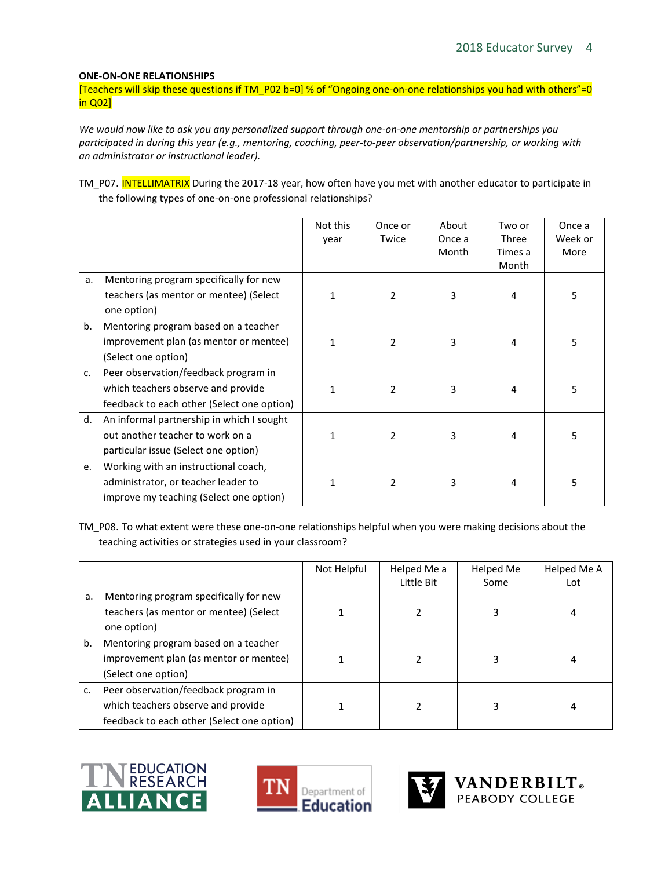#### **ONE-ON-ONE RELATIONSHIPS**

[Teachers will skip these questions if TM\_P02 b=0] % of "Ongoing one-on-one relationships you had with others"=0 in Q02]

*We would now like to ask you any personalized support through one-on-one mentorship or partnerships you participated in during this year (e.g., mentoring, coaching, peer-to-peer observation/partnership, or working with an administrator or instructional leader).*

TM\_P07. INTELLIMATRIX During the 2017-18 year, how often have you met with another educator to participate in the following types of one-on-one professional relationships?

|    |                                            | Not this | Once or        | About  | Two or  | Once a  |
|----|--------------------------------------------|----------|----------------|--------|---------|---------|
|    |                                            | year     | Twice          | Once a | Three   | Week or |
|    |                                            |          |                | Month  | Times a | More    |
|    |                                            |          |                |        | Month   |         |
| a. | Mentoring program specifically for new     |          |                |        |         |         |
|    | teachers (as mentor or mentee) (Select     |          | $\overline{2}$ | 3      | 4       | 5       |
|    | one option)                                |          |                |        |         |         |
| b. | Mentoring program based on a teacher       |          |                |        |         |         |
|    | improvement plan (as mentor or mentee)     |          | $\mathcal{P}$  | 3      | 4       | 5       |
|    | (Select one option)                        |          |                |        |         |         |
| c. | Peer observation/feedback program in       |          |                |        |         |         |
|    | which teachers observe and provide         |          | $\mathcal{P}$  | 3      | 4       | 5       |
|    | feedback to each other (Select one option) |          |                |        |         |         |
| d. | An informal partnership in which I sought  |          |                |        |         |         |
|    | out another teacher to work on a           |          | $\mathcal{P}$  | 3      | 4       | 5       |
|    | particular issue (Select one option)       |          |                |        |         |         |
| e. | Working with an instructional coach,       |          |                |        |         |         |
|    | administrator, or teacher leader to        |          | $\mathfrak{p}$ |        |         | 5       |
|    | improve my teaching (Select one option)    |          |                |        |         |         |

TM\_P08. To what extent were these one-on-one relationships helpful when you were making decisions about the teaching activities or strategies used in your classroom?

|    |                                            | Not Helpful | Helped Me a | Helped Me | Helped Me A |
|----|--------------------------------------------|-------------|-------------|-----------|-------------|
|    |                                            |             | Little Bit  | Some      | Lot         |
| a. | Mentoring program specifically for new     |             |             |           |             |
|    | teachers (as mentor or mentee) (Select     |             |             | 3         | 4           |
|    | one option)                                |             |             |           |             |
| b. | Mentoring program based on a teacher       |             |             |           |             |
|    | improvement plan (as mentor or mentee)     |             |             | 3         | 4           |
|    | (Select one option)                        |             |             |           |             |
| c. | Peer observation/feedback program in       |             |             |           |             |
|    | which teachers observe and provide         |             |             |           |             |
|    | feedback to each other (Select one option) |             |             |           |             |







**VANDERBILT**.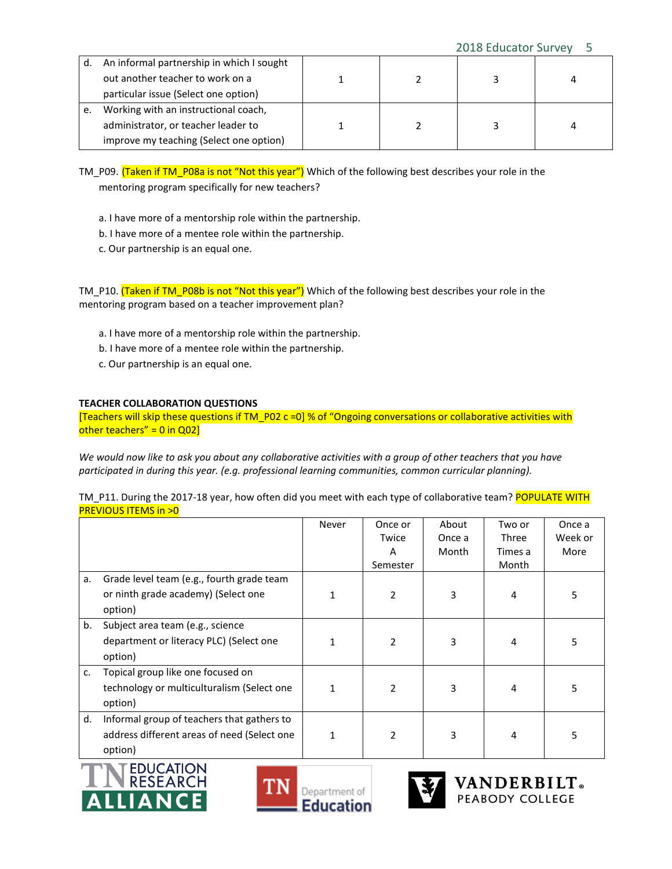| d. | An informal partnership in which I sought |  |  |
|----|-------------------------------------------|--|--|
|    | out another teacher to work on a          |  |  |
|    | particular issue (Select one option)      |  |  |
|    | Working with an instructional coach,      |  |  |
|    | administrator, or teacher leader to       |  |  |
|    | improve my teaching (Select one option)   |  |  |

TM\_P09. (Taken if TM\_P08a is not "Not this year") Which of the following best describes your role in the mentoring program specifically for new teachers?

- a. I have more of a mentorship role within the partnership.
- b. I have more of a mentee role within the partnership.
- c. Our partnership is an equal one.

TM\_P10. (Taken if TM\_P08b is not "Not this year") Which of the following best describes your role in the mentoring program based on a teacher improvement plan?

- a. I have more of a mentorship role within the partnership.
- b. I have more of a mentee role within the partnership.
- c. Our partnership is an equal one.

#### **TEACHER COLLABORATION QUESTIONS**

[Teachers will skip these questions if TM\_P02 c =0] % of "Ongoing conversations or collaborative activities with other teachers" =  $0$  in Q02]

*We would now like to ask you about any collaborative activities with a group of other teachers that you have participated in during this year. (e.g. professional learning communities, common curricular planning).*

|                                | TM P11. During the 2017-18 year, how often did you meet with each type of collaborative team? POPULATE WITH |  |
|--------------------------------|-------------------------------------------------------------------------------------------------------------|--|
| <b>PREVIOUS ITEMS in &gt;0</b> |                                                                                                             |  |

|    |                                                                                                      | Never | Once or<br>Twice<br>A<br>Semester | About<br>Once a<br>Month | Two or<br>Three<br>Times a<br>Month | Once a<br>Week or<br>More |
|----|------------------------------------------------------------------------------------------------------|-------|-----------------------------------|--------------------------|-------------------------------------|---------------------------|
| a. | Grade level team (e.g., fourth grade team<br>or ninth grade academy) (Select one<br>option)          |       | $\overline{2}$                    | 3                        | 4                                   | 5                         |
| b. | Subject area team (e.g., science<br>department or literacy PLC) (Select one<br>option)               |       | $\overline{2}$                    | 3                        | 4                                   | 5                         |
| c. | Topical group like one focused on<br>technology or multiculturalism (Select one<br>option)           |       | $\overline{2}$                    | 3                        | 4                                   | 5                         |
| d. | Informal group of teachers that gathers to<br>address different areas of need (Select one<br>option) |       | $\overline{2}$                    | 3                        | 4                                   | 5                         |





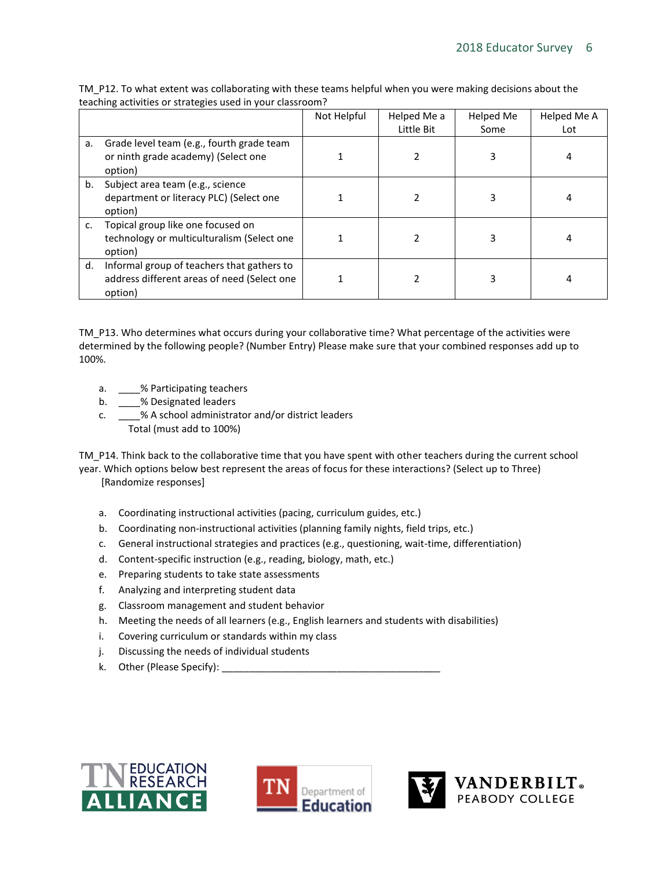|    |                                                                                                      | Not Helpful | Helped Me a | Helped Me | Helped Me A |
|----|------------------------------------------------------------------------------------------------------|-------------|-------------|-----------|-------------|
|    |                                                                                                      |             | Little Bit  | Some      | Lot         |
| a. | Grade level team (e.g., fourth grade team<br>or ninth grade academy) (Select one<br>option)          |             |             | 3         |             |
| b. | Subject area team (e.g., science<br>department or literacy PLC) (Select one<br>option)               |             |             | 3         |             |
| c. | Topical group like one focused on<br>technology or multiculturalism (Select one<br>option)           |             |             | 3         |             |
| d. | Informal group of teachers that gathers to<br>address different areas of need (Select one<br>option) |             |             | 3         |             |

TM\_P12. To what extent was collaborating with these teams helpful when you were making decisions about the teaching activities or strategies used in your classroom?

TM\_P13. Who determines what occurs during your collaborative time? What percentage of the activities were determined by the following people? (Number Entry) Please make sure that your combined responses add up to 100%.

- a. \_\_\_\_% Participating teachers
- b. \_\_\_\_% Designated leaders
- c. \_\_\_\_% A school administrator and/or district leaders Total (must add to 100%)

TM\_P14. Think back to the collaborative time that you have spent with other teachers during the current school year. Which options below best represent the areas of focus for these interactions? (Select up to Three) [Randomize responses]

- a. Coordinating instructional activities (pacing, curriculum guides, etc.)
- b. Coordinating non-instructional activities (planning family nights, field trips, etc.)
- c. General instructional strategies and practices (e.g., questioning, wait-time, differentiation)
- d. Content-specific instruction (e.g., reading, biology, math, etc.)
- e. Preparing students to take state assessments
- f. Analyzing and interpreting student data
- g. Classroom management and student behavior
- h. Meeting the needs of all learners (e.g., English learners and students with disabilities)
- i. Covering curriculum or standards within my class
- j. Discussing the needs of individual students
- k. Other (Please Specify): \_\_\_\_\_\_\_\_\_\_\_\_\_\_\_\_\_\_\_\_\_\_\_\_\_\_\_\_\_\_\_\_\_\_\_\_\_\_\_\_